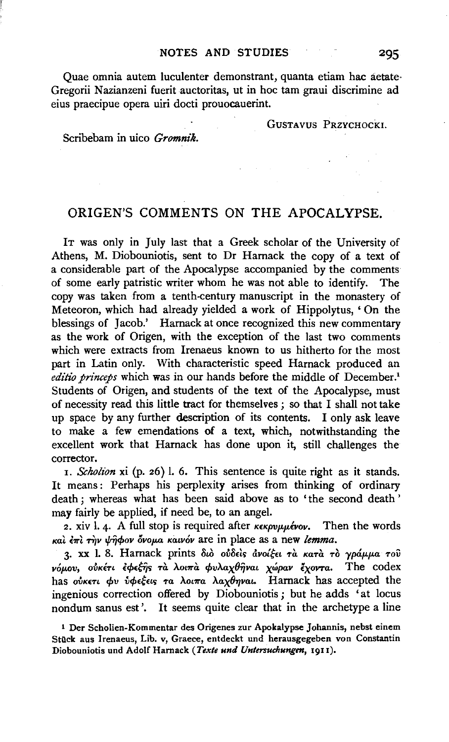Quae omnia autem luculenter demonstrant, quanta etiam hac aetate· Gregorii Nazianzeni fuerit auctoritas, ut in hoc tam graui discrimine ad eius praecipue opera uiri docti prouocauerint.

GUSTAVUS PRZYCHOCKL

Scribebam in uico *Gromnik.* 

## ORIGEN'S COMMENTS ON THE APOCALYPSE.

IT was only in July last that a Greek scholar of the University of Athens, M. Diobouniotis, sent to Dr Hamack the copy of a text of a considerable part of the Apocalypse accompanied by the comments of some early patristic writer whom he was not able to identify. The copy was taken from a tenth-century manuscript in the monastery of Meteoron, which had already yielded a work of Hippolytus, ' On the blessings of Jacob.' Harnack at once recognized this new commentary as the work of Origen, with the exception of the last two comments which were extracts from Irenaeus known to us hitherto for the most part in Latin only. With characteristic speed Hamack produced an *editio princeps* which was in our hands before the middle of December.<sup>1</sup> Students of Origen, and students of the text of the Apocalypse, must of necessity read this little tract for themselves; so that I shall not take up space by any further description of its contents. I only ask leave to make a few emendations of a text, which, notwithstanding the excellent work that Harnack has done upon it, still challenges the corrector.

1. *Schotion* xi (p. 26) 1. 6. This sentence is quite right as it stands. It means: Perhaps his perplexity arises from thinking of ordinary death ; whereas what has been said above as to 'the second death ' may fairly be applied, if need be, to an angel.

2. xiv l. 4. A full stop is required after  $\kappa \epsilon \kappa \rho \nu \mu \mu \epsilon \nu \sigma \nu$ . Then the words *Kat l1rl 'Tijv l{rTjcpov (wop.a Kawov* are in place as a new *lemma.* 

3· xx 1. 8. Hamack prints *8to* olo8ds &.vo{~n *Ta KaTa* To *yp&.p.p.a Tov vop.ov, oiJKi'Tt* lcp(~S *Ta AOt11"a cpvA.ax87Jvat xwpav lxoVTa.* The codex has ovkert *φν νφεέεις τα λοιπα λαχθηναι*. Harnack has accepted the ingenious correction offered by Diobouniotis ; but he adds 'at locus nondum sanus est'. It seems quite clear that in the archetype a line

<sup>1</sup>Der Scholien-Kommentar des Origenes zur Apokalypse Johannis, nebst einem Stück aus Irenaeus, Lib. v, Graece, entdeckt und herausgegeben von Constantin Diobouniotis und Adolf Hamack *(Texte und Untersuchungen,* 19II).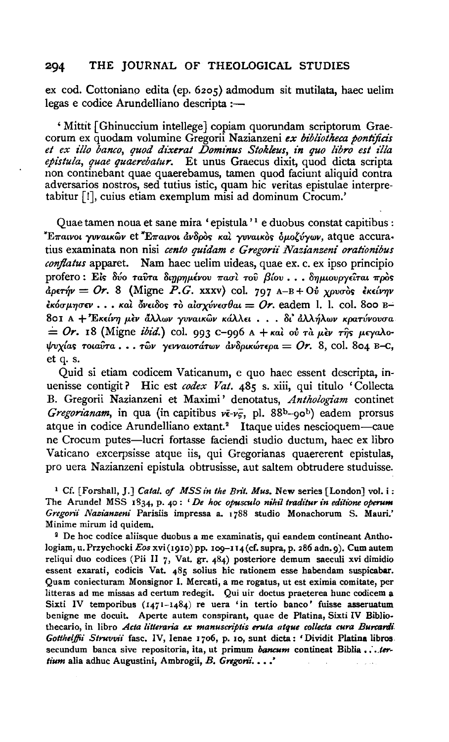ex cod. Cottoniano edita (ep. 6zos) admodum sit mutilata, haec uelim legas e codice Arundelliano descripta :-

' Mittit [ Ghinuccium intellege] copiam quorundam scriptorum Graecorum ex quodam volumine Gregorii Nazianzeni *ex bibliotheca pontijicis et ex illo banco, quod dz:Xerat Dominus Stokleus, in quo libro est z1la epistula, quae quaerebalur.* Et unus Graecus dixit, quod dicta scripta non continebant quae quaerebamus, tamen quod faciunt aliquid contra adversarios nostros, sed tutius istic, quam hie veritas epistulae interpretabitur [!], cuius etiam exemplum misi ad dominum Crocum.'

Quae tamen noua et sane mira 'epistula'<sup>1</sup> e duobus constat capitibus : <sup>\*</sup>Επαινοι γυναικῶν et <sup>\*</sup>Επαινοι ἀνδρὸς καὶ γυναικὸς ὁμοζύγων, atque accuratius examinata non nisi cento quidam e Gregorii Nazianzeni orationibus *conjlatus* apparet. Nam haec uelim uideas, quae ex. c. ex ipso principio profero: Είς δύο ταύτα διηρημένου πασί τού βίου...δημιουργείται πρός *dpm}v* = *Or.* 8 (Migne P.G. xxxv) col. 797 A-B+ *Oll XPva-6s lK£lV7Jv ξκόσμησεν* . . . και δνειδος το *αισχύνεσθαι* = *Or.* eadem I. 1. col. 800 B-801 A + *'EK£lV7J p.£v aAAWV yvvatKWV KaAA£L* • • • *8t'* dAA~AWV *Kparuvova-a*   $= Or. 18$  (Migne *ibid.*) col. 993 c-996 A + *Kal ol Ta per Tips peyalotfroxla<; TotavTa* • • • *Twv y£VVaLOTttTwv dv8ptKwnpa* = *Or.* 8, col. 8o4 B-e, et q. s.

Quid si etiam codicem Vaticanum, e quo haec essent descripta, inuenisse contigit? Hic est codex Vat. 485 s. xiii, qui titulo 'Collecta B. Gregorii Nazianzeni et Maximi' denotatus, *Anthologiam* continet *Gregorianam*, in qua (in capitibus  $v\bar{\epsilon}$ - $v\bar{5}$ , pl. 88b-90b) eadem prorsus atque in codice Arundelliano extant.<sup>2</sup> Itaque uides nescioquem—caue ne Crocum putes-lucri fortasse faciendi studio ductum, haec ex libro Vaticano excerpsisse atque iis, qui Gregorianas quaererent epistulas, pro uera Nazianzeni epistula obtrusisse, aut saltem obtrudere studuisse.

<sup>1</sup> Cf. [Forshall, J.] *Catal. of MSS in the Brit. Mus.* New series [London] vol. i: The Arundel MSS 1834, p. 40: *'De hoc opusculo nihil traditur in editione operum Gregorii Nasianseni* Parisiis impressa a. 1 788 studio Monachorum S. Mauri.' Minime mirum id quidem.

<sup>2</sup> De hoc codice aliisque duobus a me examinatis, qui eandem contineant Anthologiam, u. Przychocki *Eos* xvi (1910) pp. 109-114 (cf. supra, p. 286 adn. 9). Cum autem reliqui duo codices (Pii 11 *7,* Vat. gr. 484) posteriore demum saeculi xvi dimidio essent exarati, codicis Vat. 485 solius hie rationem esse habendam suspicabar. Quam coniecturam Monsignor I. Mercati, a me rogatus, ut est eximia comitate, per litteras ad me missas ad certum redegit. Qui uir doctus praeterea hunc codicem a Sixti IV temporibus (1471-1484) re uera 'in tertio banco' fuisse asseruatum benigne me docuit. Aperte autem conspirant, quae de Platina, Sixti IV Biblio· thecario, in libro *Acta litteraria ex manuscriptis eruta atque collecta cura Burcardi Gotthe/jfii Struvvii* fasc. IV, Ienae 1706, p. 10, sunt dicta: 'Dividit Platina libros. secundum banca sive repositoria, ita, ut primum *bancum* contineat Biblia . . . . ter*tium* alia adhuc Augustini, Ambrogii, B. *Gngonl •* •• .'